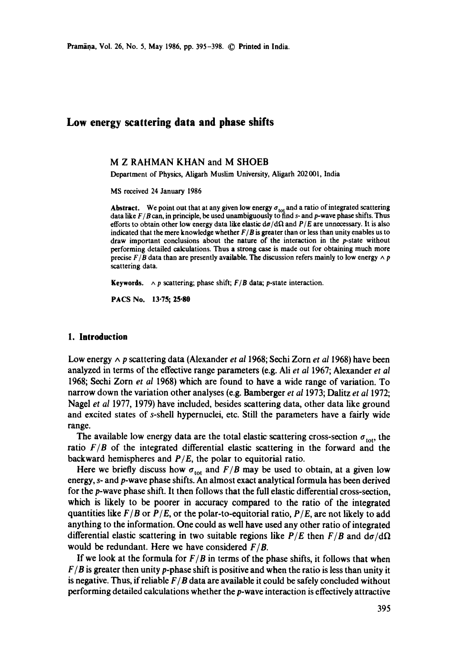# **Low energy scattering data and phase shifts**

## **M Z** RAHMAN KHAN and M SHOEB

Department of Physics, Aligarh Muslim University, Aiigarh 202 001, India

MS received 24 January 1986

Abstract. We point out that at any given low energy  $\sigma_{\text{tot}}$  and a ratio of integrated scattering data like *F/B* can, in principle, be used unambiguously to find s- and p-wave phase shifts. Thus efforts to obtain other low energy data like elastic  $d\sigma/d\Omega$  and  $P/E$  are unnecessary. It is also indicated that the mere knowledge whether  $F/B$  is greater than or less than unity enables us to draw important conclusions about the nature of the interaction in the p-state without performing detailed calculations. Thus a strong case is made out for obtaining much more precise  $F/B$  data than are presently available. The discussion refers mainly to low energy  $\wedge p$ scattering data.

**Keywords.**  $\land$  p scattering; phase shift;  $F/B$  data; p-state interaction.

PACS No. 13.75; 25.80

#### **1. Introduction**

Low energy ^ p scattering data (Alexander *et a11968;* Sechi Zorn *et al* 1968) have been analyzed in terms of the effective range parameters (e.g. Ali *et al* 1967; Alexander *et al*  1968; Sechi Zorn *et al* 1968) which are found to have a wide range of variation. To narrow down the variation other analyses (e.g. Bamberger *et al* 1973; Dalitz *et al* 1972; Nagel *et al* 1977, 1979) have included, besides scattering data, other data like ground and excited states of s-shell hypernuclei, etc. Still the parameters have a fairly wide range.

The available low energy data are the total elastic scattering cross-section  $\sigma_{\text{tot}}$ , the ratio  $F/B$  of the integrated differential elastic scattering in the forward and the backward hemispheres and *P/E,* the polar to equitorial ratio.

Here we briefly discuss how  $\sigma_{\text{tot}}$  and  $F/B$  may be used to obtain, at a given low energy, s- and p-wave phase shifts. An almost exact analytical formula has been derived for the p-wave phase shift. It then follows that the full elastic differential cross-section, which is likely to be poorer in accuracy compared to the ratio of the integrated quantities like *FIB* or *P/E,* or the polar-to-equitorial ratio, *P/E, are* not likely to add anything to the information. One could as well have used any other ratio of integrated differential elastic scattering in two suitable regions like  $P/E$  then  $F/B$  and  $d\sigma/d\Omega$ would be redundant. Here we have considered *F/B.* 

If we look at the formula for  $F/B$  in terms of the phase shifts, it follows that when *F/B* is greater then unity p-phase shift is positive and when the ratio is less than unity it is negative. Thus, if reliable  $F/B$  data are available it could be safely concluded without performing detailed calculations whether the p-wave interaction is effectively attractive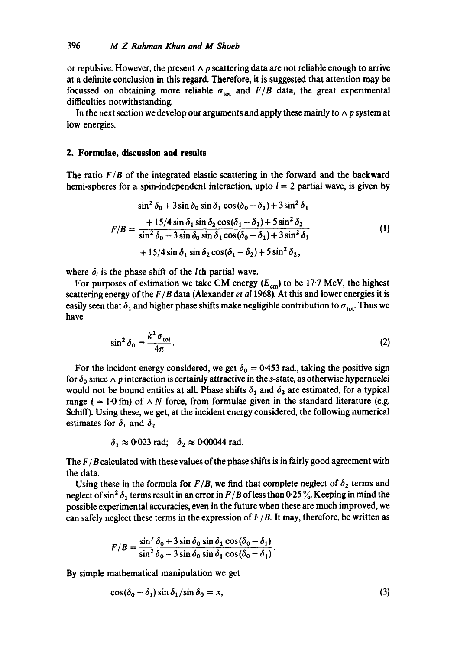or repulsive. However, the present  $\wedge p$  scattering data are not reliable enough to arrive at a definite conclusion in this regard. Therefore, it is suggested that attention may be focussed on obtaining more reliable  $\sigma_{tot}$  and  $F/B$  data, the great experimental difficulties notwithstanding.

In the next section we develop our arguments and apply these mainly to  $\wedge p$  system at low energies.

#### **2. Formulae, discussion and results**

The ratio *F/B* of the integrated elastic scattering in the forward and the backward hemi-spheres for a spin-independent interaction, upto  $l = 2$  partial wave, is given by

$$
\sin^2 \delta_0 + 3 \sin \delta_0 \sin \delta_1 \cos(\delta_0 - \delta_1) + 3 \sin^2 \delta_1
$$
  
\n
$$
F/B = \frac{+ 15/4 \sin \delta_1 \sin \delta_2 \cos(\delta_1 - \delta_2) + 5 \sin^2 \delta_2}{\sin^2 \delta_0 - 3 \sin \delta_0 \sin \delta_1 \cos(\delta_0 - \delta_1) + 3 \sin^2 \delta_1}
$$
 (1)  
\n
$$
+ 15/4 \sin \delta_1 \sin \delta_2 \cos(\delta_1 - \delta_2) + 5 \sin^2 \delta_2,
$$

where  $\delta_i$  is the phase shift of the *I*th partial wave.

For purposes of estimation we take CM energy  $(E_{cm})$  to be 17.7 MeV, the highest scattering energy of the *F/B* data (Alexander *et a11968).* At this and lower energies it is easily seen that  $\delta_1$  and higher phase shifts make negligible contribution to  $\sigma_{tot}$ . Thus we have

$$
\sin^2 \delta_0 = \frac{k^2 \sigma_{\text{tot}}}{4\pi}.
$$
 (2)

For the incident energy considered, we get  $\delta_0 = 0.453$  rad., taking the positive sign for  $\delta_0$  since  $\wedge$  p interaction is certainly attractive in the s-state, as otherwise hypernuclei would not be bound entities at all. Phase shifts  $\delta_1$  and  $\delta_2$  are estimated, for a typical range ( $= 1.0$  fm) of  $\land$  N force, from formulae given in the standard literature (e.g. Schiff). Using these, we get, at the incident energy considered, the following numerical estimates for  $\delta_1$  and  $\delta_2$ 

$$
\delta_1 \approx 0.023
$$
 rad;  $\delta_2 \approx 0.00044$  rad.

The *F/B* calculated with these values of the phase shifts is in fairly good agreement with the data.

Using these in the formula for  $F/B$ , we find that complete neglect of  $\delta_2$  terms and neglect of sin<sup>2</sup>  $\delta_1$  terms result in an error in *F/B* of less than 0.25%. Keeping in mind the possible experimental accuracies, even in the future when these are much improved, we can safely neglect these terms in the expression *of F/B.* It may, therefore, be written as

$$
F/B = \frac{\sin^2 \delta_0 + 3 \sin \delta_0 \sin \delta_1 \cos(\delta_0 - \delta_1)}{\sin^2 \delta_0 - 3 \sin \delta_0 \sin \delta_1 \cos(\delta_0 - \delta_1)}.
$$

By simple mathematical manipulation we get

$$
\cos(\delta_0 - \delta_1) \sin \delta_1 / \sin \delta_0 = x,\tag{3}
$$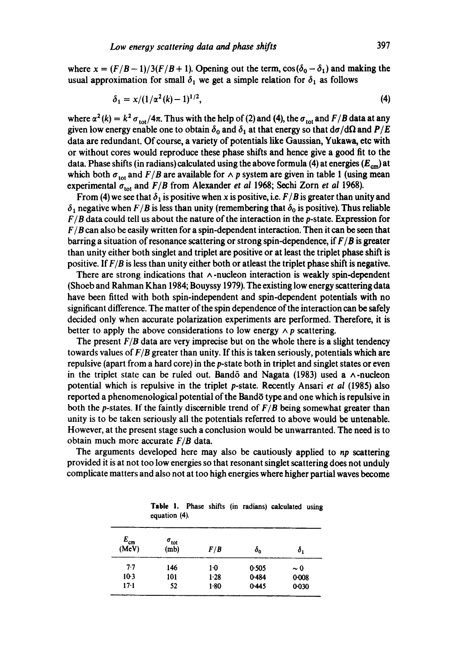where  $x = (F/B-1)/3(F/B+1)$ . Opening out the term,  $cos(\delta_0 - \delta_1)$  and making the usual approximation for small  $\delta_1$  we get a simple relation for  $\delta_1$  as follows

$$
\delta_1 = x/(1/\alpha^2(k)-1)^{1/2},\tag{4}
$$

where  $\alpha^2(k) = k^2 \sigma_{\text{tot}}/4\pi$ . Thus with the help of (2) and (4), the  $\sigma_{\text{tot}}$  and  $F/B$  data at any given low energy enable one to obtain  $\delta_0$  and  $\delta_1$  at that energy so that  $d\sigma/d\Omega$  and  $P/E$ data are redundant. Of course, a variety of potentials like Gausslan, Yukawa, etc with or without cores would reproduce these phase shifts and hence give a good fit to the data. Phase shifts (in radians) calculated using the above formula (4) at energies  $(E_{cm})$  at which both  $\sigma_{\text{tot}}$  and  $F/B$  are available for  $\wedge$  p system are given in table 1 (using mean experimental  $\sigma_{\text{tot}}$  and  $F/B$  from Alexander *et al 1968*; Sechi Zorn *et al 1968*).

From (4) we see that  $\delta_1$  is positive when x is positive, i.e.  $F/B$  is greater than unity and  $\delta_1$  negative when  $F/B$  is less than unity (remembering that  $\delta_0$  is positive). Thus reliable *FIB* data could tell us about the nature of the interaction in the p-state. Expression for *FIB* can also be easily written for a spin-dependent interaction. Then it can be seen that barring a situation of resonance scattering or strong spin-dependence, if *FIB* is greater than unity either both singlet and triplet are positive or at least the triplet phase shift is positive. *IfF/B* is less than unity either both or atleast the triplet phase shift is negative.

There are strong indications that  $\wedge$ -nucleon interaction is weakly spin-dependent (Shoeb and Rahman Khan 1984; Bouyssy 1979). The existing low energy scattering data have been fitted with both spin-independent and spin-dependent potentials with no significant difference. The matter of the spin dependence of the interaction can be safely decided only when accurate polarization experiments are performed. Therefore, it is better to apply the above considerations to low energy  $\wedge p$  scattering.

The present  $F/B$  data are very imprecise but on the whole there is a slight tendency towards values of *F/B* greater than unity. If this is taken seriously, potentials which are repulsive (apart from a hard core) in the p-state both in triplet and singiet states or even in the triplet state can be ruled out. Bandō and Nagata (1983) used a  $\land$ -nucleon potential which is repulsive in the triplet p-state. Recently Ansari *et al* (1985) also reported a phenomenological potential of the Bandō type and one which is repulsive in both the p-states. If the faintly discernible trend of *F/B* being somewhat greater than unity is to be taken seriously all the potentials referred to above would be untenable. However, at the present stage such a conclusion would be unwarranted. The need is to obtain much more accurate *FIB* data.

The arguments developed here may also be cautiously applied to *np* scattering provided it is at not too low energies so that resonant singlet scattering does not unduly complicate matters and also not at too high energies where higher partial waves become

| $E_{cm}$<br>(MeV) | $\sigma_{\rm tot}$<br>(m <sub>b</sub> ) | F/B  | $\delta_0$ | ò,       |
|-------------------|-----------------------------------------|------|------------|----------|
| $7 - 7$           | 146                                     | 10   | 0.505      | $\sim 0$ |
| $10-3$            | 101                                     | 1.28 | 0.484      | 0.008    |
| $17 - 1$          | 52                                      | 1.80 | 0.445      | 0.030    |

**Table** 1. Phase shifts (in radians) calculated using equation (4).